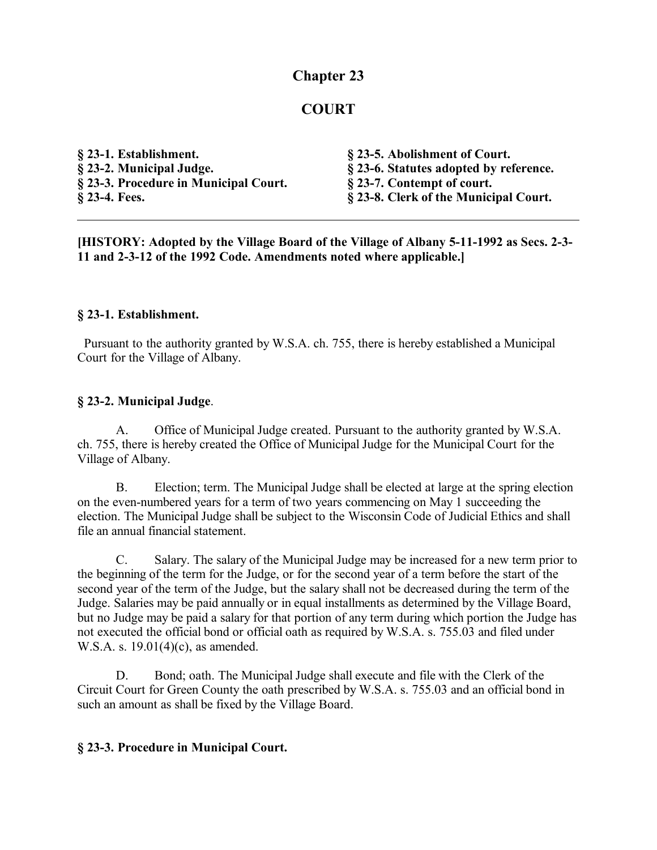## **Chapter 23**

## **COURT**

| § 23-1. Establishment.                | § 23-5. Abolishment of Court.          |
|---------------------------------------|----------------------------------------|
| § 23-2. Municipal Judge.              | § 23-6. Statutes adopted by reference. |
| § 23-3. Procedure in Municipal Court. | § 23-7. Contempt of court.             |
| § 23-4. Fees.                         | § 23-8. Clerk of the Municipal Court.  |

**[HISTORY: Adopted by the Village Board of the Village of Albany 5-11-1992 as Secs. 2-3- 11 and 2-3-12 of the 1992 Code. Amendments noted where applicable.]**

### **§ 23-1. Establishment.**

 Pursuant to the authority granted by W.S.A. ch. 755, there is hereby established a Municipal Court for the Village of Albany.

### **§ 23-2. Municipal Judge**.

A. Office of Municipal Judge created. Pursuant to the authority granted by W.S.A. ch. 755, there is hereby created the Office of Municipal Judge for the Municipal Court for the Village of Albany.

B. Election; term. The Municipal Judge shall be elected at large at the spring election on the even-numbered years for a term of two years commencing on May 1 succeeding the election. The Municipal Judge shall be subject to the Wisconsin Code of Judicial Ethics and shall file an annual financial statement.

C. Salary. The salary of the Municipal Judge may be increased for a new term prior to the beginning of the term for the Judge, or for the second year of a term before the start of the second year of the term of the Judge, but the salary shall not be decreased during the term of the Judge. Salaries may be paid annually or in equal installments as determined by the Village Board, but no Judge may be paid a salary for that portion of any term during which portion the Judge has not executed the official bond or official oath as required by W.S.A. s. 755.03 and filed under W.S.A. s. 19.01(4)(c), as amended.

D. Bond; oath. The Municipal Judge shall execute and file with the Clerk of the Circuit Court for Green County the oath prescribed by W.S.A. s. 755.03 and an official bond in such an amount as shall be fixed by the Village Board.

### **§ 23-3. Procedure in Municipal Court.**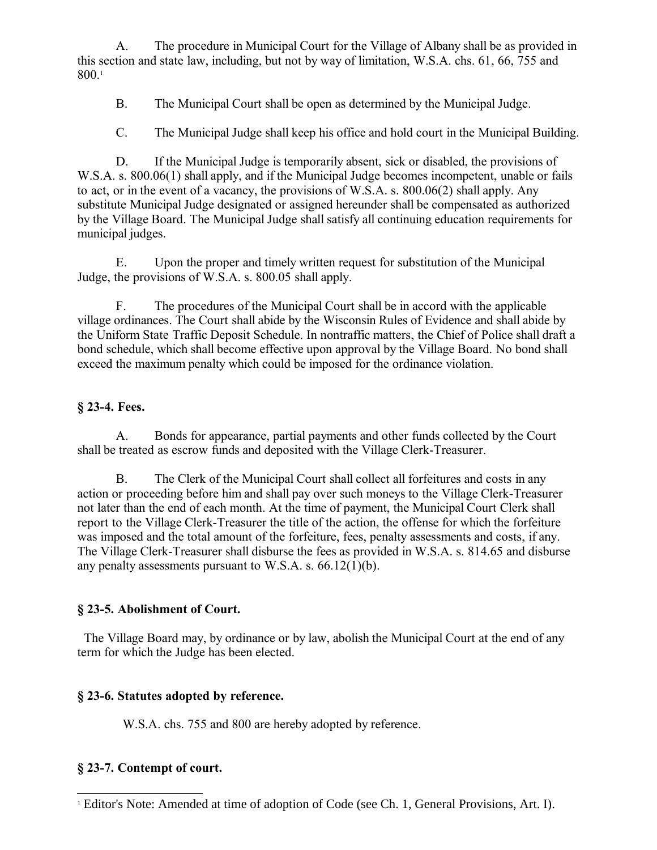A. The procedure in Municipal Court for the Village of Albany shall be as provided in this section and state law, including, but not by way of limitation, W.S.A. chs. 61, 66, 755 and 800.[1](#page-1-0)

B. The Municipal Court shall be open as determined by the Municipal Judge.

C. The Municipal Judge shall keep his office and hold court in the Municipal Building.

D. If the Municipal Judge is temporarily absent, sick or disabled, the provisions of W.S.A. s. 800.06(1) shall apply, and if the Municipal Judge becomes incompetent, unable or fails to act, or in the event of a vacancy, the provisions of W.S.A. s. 800.06(2) shall apply. Any substitute Municipal Judge designated or assigned hereunder shall be compensated as authorized by the Village Board. The Municipal Judge shall satisfy all continuing education requirements for municipal judges.

E. Upon the proper and timely written request for substitution of the Municipal Judge, the provisions of W.S.A. s. 800.05 shall apply.

F. The procedures of the Municipal Court shall be in accord with the applicable village ordinances. The Court shall abide by the Wisconsin Rules of Evidence and shall abide by the Uniform State Traffic Deposit Schedule. In nontraffic matters, the Chief of Police shall draft a bond schedule, which shall become effective upon approval by the Village Board. No bond shall exceed the maximum penalty which could be imposed for the ordinance violation.

## **§ 23-4. Fees.**

A. Bonds for appearance, partial payments and other funds collected by the Court shall be treated as escrow funds and deposited with the Village Clerk-Treasurer.

B. The Clerk of the Municipal Court shall collect all forfeitures and costs in any action or proceeding before him and shall pay over such moneys to the Village Clerk-Treasurer not later than the end of each month. At the time of payment, the Municipal Court Clerk shall report to the Village Clerk-Treasurer the title of the action, the offense for which the forfeiture was imposed and the total amount of the forfeiture, fees, penalty assessments and costs, if any. The Village Clerk-Treasurer shall disburse the fees as provided in W.S.A. s. 814.65 and disburse any penalty assessments pursuant to W.S.A. s. 66.12(1)(b).

# **§ 23-5. Abolishment of Court.**

 The Village Board may, by ordinance or by law, abolish the Municipal Court at the end of any term for which the Judge has been elected.

# **§ 23-6. Statutes adopted by reference.**

W.S.A. chs. 755 and 800 are hereby adopted by reference.

# **§ 23-7. Contempt of court.**

<span id="page-1-0"></span><sup>&</sup>lt;sup>1</sup> Editor's Note: Amended at time of adoption of Code (see Ch. 1, General Provisions, Art. I).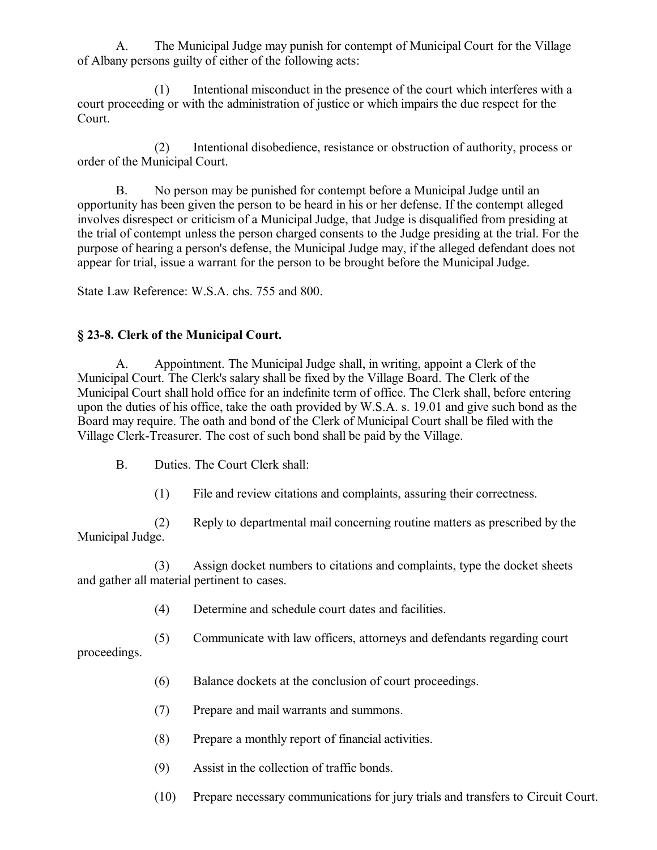A. The Municipal Judge may punish for contempt of Municipal Court for the Village of Albany persons guilty of either of the following acts:

(1) Intentional misconduct in the presence of the court which interferes with a court proceeding or with the administration of justice or which impairs the due respect for the Court.

(2) Intentional disobedience, resistance or obstruction of authority, process or order of the Municipal Court.

B. No person may be punished for contempt before a Municipal Judge until an opportunity has been given the person to be heard in his or her defense. If the contempt alleged involves disrespect or criticism of a Municipal Judge, that Judge is disqualified from presiding at the trial of contempt unless the person charged consents to the Judge presiding at the trial. For the purpose of hearing a person's defense, the Municipal Judge may, if the alleged defendant does not appear for trial, issue a warrant for the person to be brought before the Municipal Judge.

State Law Reference: W.S.A. chs. 755 and 800.

### **§ 23-8. Clerk of the Municipal Court.**

A. Appointment. The Municipal Judge shall, in writing, appoint a Clerk of the Municipal Court. The Clerk's salary shall be fixed by the Village Board. The Clerk of the Municipal Court shall hold office for an indefinite term of office. The Clerk shall, before entering upon the duties of his office, take the oath provided by W.S.A. s. 19.01 and give such bond as the Board may require. The oath and bond of the Clerk of Municipal Court shall be filed with the Village Clerk-Treasurer. The cost of such bond shall be paid by the Village.

- B. Duties. The Court Clerk shall:
	- (1) File and review citations and complaints, assuring their correctness.

(2) Reply to departmental mail concerning routine matters as prescribed by the Municipal Judge.

(3) Assign docket numbers to citations and complaints, type the docket sheets and gather all material pertinent to cases.

- (4) Determine and schedule court dates and facilities.
- (5) Communicate with law officers, attorneys and defendants regarding court

proceedings.

- (6) Balance dockets at the conclusion of court proceedings.
- (7) Prepare and mail warrants and summons.
- (8) Prepare a monthly report of financial activities.
- (9) Assist in the collection of traffic bonds.
- (10) Prepare necessary communications for jury trials and transfers to Circuit Court.